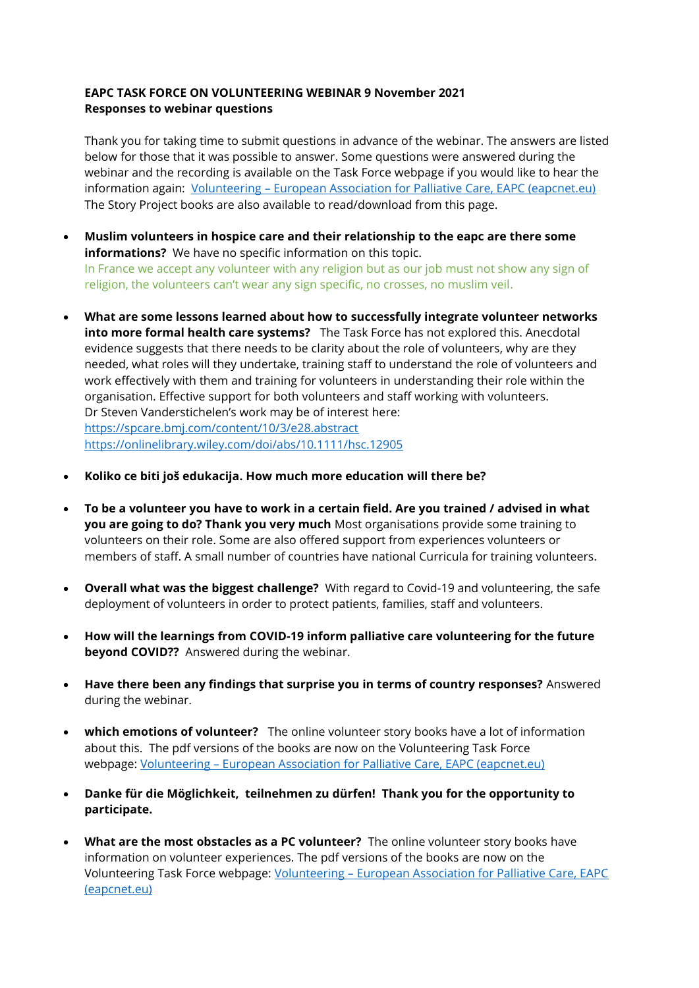## **EAPC TASK FORCE ON VOLUNTEERING WEBINAR 9 November 2021 Responses to webinar questions**

Thank you for taking time to submit questions in advance of the webinar. The answers are listed below for those that it was possible to answer. Some questions were answered during the webinar and the recording is available on the Task Force webpage if you would like to hear the information again: Volunteering – [European Association for Palliative Care, EAPC \(eapcnet.eu\)](https://www.eapcnet.eu/eapc-groups/task-forces/volunteering/) The Story Project books are also available to read/download from this page.

- **Muslim volunteers in hospice care and their relationship to the eapc are there some informations?** We have no specific information on this topic. In France we accept any volunteer with any religion but as our job must not show any sign of religion, the volunteers can't wear any sign specific, no crosses, no muslim veil.
- **What are some lessons learned about how to successfully integrate volunteer networks into more formal health care systems?** The Task Force has not explored this. Anecdotal evidence suggests that there needs to be clarity about the role of volunteers, why are they needed, what roles will they undertake, training staff to understand the role of volunteers and work effectively with them and training for volunteers in understanding their role within the organisation. Effective support for both volunteers and staff working with volunteers. Dr Steven Vanderstichelen's work may be of interest here: <https://spcare.bmj.com/content/10/3/e28.abstract> <https://onlinelibrary.wiley.com/doi/abs/10.1111/hsc.12905>
- **Koliko ce biti još edukacija. How much more education will there be?**
- **To be a volunteer you have to work in a certain field. Are you trained / advised in what you are going to do? Thank you very much** Most organisations provide some training to volunteers on their role. Some are also offered support from experiences volunteers or members of staff. A small number of countries have national Curricula for training volunteers.
- **Overall what was the biggest challenge?** With regard to Covid-19 and volunteering, the safe deployment of volunteers in order to protect patients, families, staff and volunteers.
- **How will the learnings from COVID-19 inform palliative care volunteering for the future beyond COVID??** Answered during the webinar.
- **Have there been any findings that surprise you in terms of country responses?** Answered during the webinar.
- **which emotions of volunteer?** The online volunteer story books have a lot of information about this. The pdf versions of the books are now on the Volunteering Task Force webpage: Volunteering – [European Association for Palliative Care, EAPC \(eapcnet.eu\)](https://www.eapcnet.eu/eapc-groups/task-forces/volunteering/)
- **Danke für die Möglichkeit, teilnehmen zu dürfen! Thank you for the opportunity to participate.**
- **What are the most obstacles as a PC volunteer?** The online volunteer story books have information on volunteer experiences. The pdf versions of the books are now on the Volunteering Task Force webpage: Volunteering – [European Association for Palliative Care, EAPC](https://www.eapcnet.eu/eapc-groups/task-forces/volunteering/)  [\(eapcnet.eu\)](https://www.eapcnet.eu/eapc-groups/task-forces/volunteering/)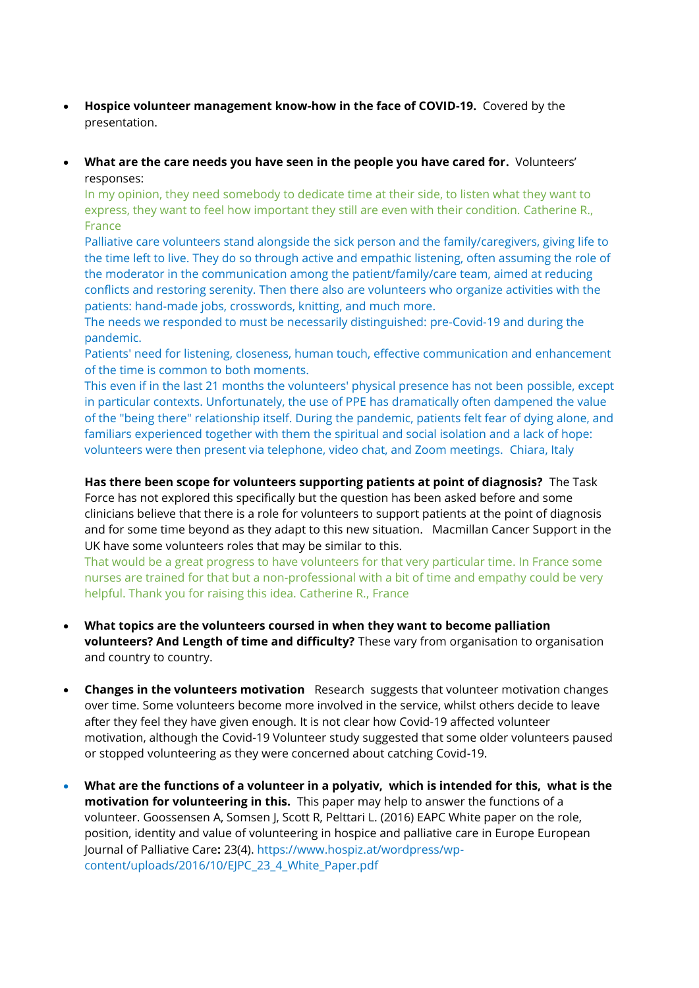- **Hospice volunteer management know-how in the face of COVID-19.** Covered by the presentation.
- **What are the care needs you have seen in the people you have cared for.** Volunteers' responses:

In my opinion, they need somebody to dedicate time at their side, to listen what they want to express, they want to feel how important they still are even with their condition. Catherine R., France

Palliative care volunteers stand alongside the sick person and the family/caregivers, giving life to the time left to live. They do so through active and empathic listening, often assuming the role of the moderator in the communication among the patient/family/care team, aimed at reducing conflicts and restoring serenity. Then there also are volunteers who organize activities with the patients: hand-made jobs, crosswords, knitting, and much more.

The needs we responded to must be necessarily distinguished: pre-Covid-19 and during the pandemic.

Patients' need for listening, closeness, human touch, effective communication and enhancement of the time is common to both moments.

This even if in the last 21 months the volunteers' physical presence has not been possible, except in particular contexts. Unfortunately, the use of PPE has dramatically often dampened the value of the "being there" relationship itself. During the pandemic, patients felt fear of dying alone, and familiars experienced together with them the spiritual and social isolation and a lack of hope: volunteers were then present via telephone, video chat, and Zoom meetings. Chiara, Italy

## **Has there been scope for volunteers supporting patients at point of diagnosis?** The Task

Force has not explored this specifically but the question has been asked before and some clinicians believe that there is a role for volunteers to support patients at the point of diagnosis and for some time beyond as they adapt to this new situation. Macmillan Cancer Support in the UK have some volunteers roles that may be similar to this.

That would be a great progress to have volunteers for that very particular time. In France some nurses are trained for that but a non-professional with a bit of time and empathy could be very helpful. Thank you for raising this idea. Catherine R., France

- **What topics are the volunteers coursed in when they want to become palliation volunteers? And Length of time and difficulty?** These vary from organisation to organisation and country to country.
- **Changes in the volunteers motivation** Research suggests that volunteer motivation changes over time. Some volunteers become more involved in the service, whilst others decide to leave after they feel they have given enough. It is not clear how Covid-19 affected volunteer motivation, although the Covid-19 Volunteer study suggested that some older volunteers paused or stopped volunteering as they were concerned about catching Covid-19.
- **What are the functions of a volunteer in a polyativ, which is intended for this, what is the motivation for volunteering in this.** This paper may help to answer the functions of a volunteer. Goossensen A, Somsen J, Scott R, Pelttari L. (2016) EAPC White paper on the role, position, identity and value of volunteering in hospice and palliative care in Europe European Journal of Palliative Care**:** 23(4). https://www.hospiz.at/wordpress/wpcontent/uploads/2016/10/EJPC\_23\_4\_White\_Paper.pdf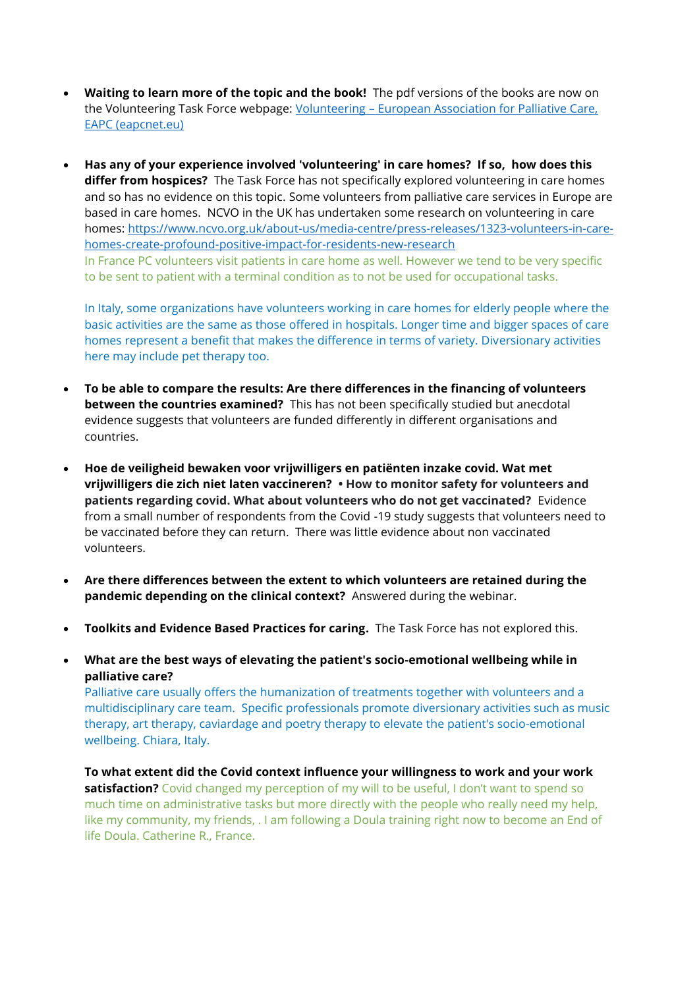- **Waiting to learn more of the topic and the book!** The pdf versions of the books are now on the Volunteering Task Force webpage: Volunteering - [European Association for Palliative](https://www.eapcnet.eu/eapc-groups/task-forces/volunteering/) Care, [EAPC \(eapcnet.eu\)](https://www.eapcnet.eu/eapc-groups/task-forces/volunteering/)
- **Has any of your experience involved 'volunteering' in care homes? If so, how does this differ from hospices?** The Task Force has not specifically explored volunteering in care homes and so has no evidence on this topic. Some volunteers from palliative care services in Europe are based in care homes. NCVO in the UK has undertaken some research on volunteering in care homes: [https://www.ncvo.org.uk/about-us/media-centre/press-releases/1323-volunteers-in-care](https://www.ncvo.org.uk/about-us/media-centre/press-releases/1323-volunteers-in-care-homes-create-profound-positive-impact-for-residents-new-research)[homes-create-profound-positive-impact-for-residents-new-research](https://www.ncvo.org.uk/about-us/media-centre/press-releases/1323-volunteers-in-care-homes-create-profound-positive-impact-for-residents-new-research) In France PC volunteers visit patients in care home as well. However we tend to be very specific to be sent to patient with a terminal condition as to not be used for occupational tasks.

In Italy, some organizations have volunteers working in care homes for elderly people where the basic activities are the same as those offered in hospitals. Longer time and bigger spaces of care homes represent a benefit that makes the difference in terms of variety. Diversionary activities here may include pet therapy too.

- **To be able to compare the results: Are there differences in the financing of volunteers between the countries examined?** This has not been specifically studied but anecdotal evidence suggests that volunteers are funded differently in different organisations and countries.
- **Hoe de veiligheid bewaken voor vrijwilligers en patiënten inzake covid. Wat met vrijwilligers die zich niet laten vaccineren? • How to monitor safety for volunteers and patients regarding covid. What about volunteers who do not get vaccinated?** Evidence from a small number of respondents from the Covid -19 study suggests that volunteers need to be vaccinated before they can return. There was little evidence about non vaccinated volunteers.
- **Are there differences between the extent to which volunteers are retained during the pandemic depending on the clinical context?** Answered during the webinar.
- **Toolkits and Evidence Based Practices for caring.** The Task Force has not explored this.
- **What are the best ways of elevating the patient's socio-emotional wellbeing while in palliative care?**

Palliative care usually offers the humanization of treatments together with volunteers and a multidisciplinary care team. Specific professionals promote diversionary activities such as music therapy, art therapy, caviardage and poetry therapy to elevate the patient's socio-emotional wellbeing. Chiara, Italy.

**To what extent did the Covid context influence your willingness to work and your work satisfaction?** Covid changed my perception of my will to be useful, I don't want to spend so much time on administrative tasks but more directly with the people who really need my help, like my community, my friends, . I am following a Doula training right now to become an End of life Doula. Catherine R., France.